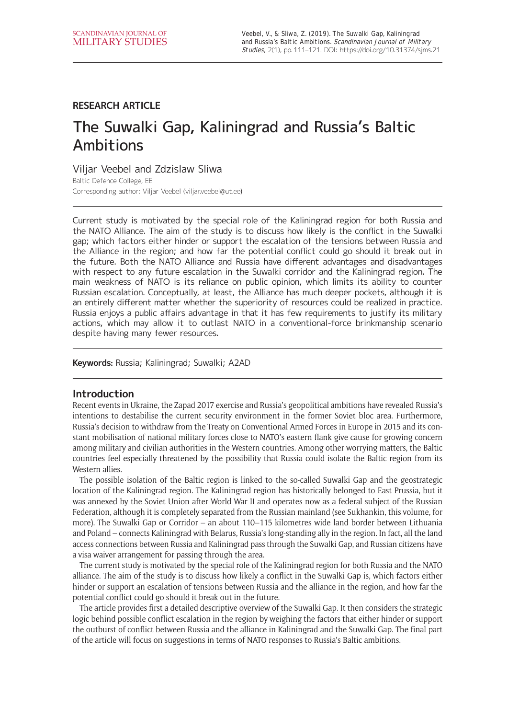## **RESEARCH ARTICLE**

# The Suwalki Gap, Kaliningrad and Russia's Baltic Ambitions

Viljar Veebel and Zdzislaw Sliwa

Baltic Defence College, EE Corresponding author: Viljar Veebel [\(viljar.veebel@ut.ee](mailto:viljar.veebel@ut.ee))

Current study is motivated by the special role of the Kaliningrad region for both Russia and the NATO Alliance. The aim of the study is to discuss how likely is the conflict in the Suwalki gap; which factors either hinder or support the escalation of the tensions between Russia and the Alliance in the region; and how far the potential conflict could go should it break out in the future. Both the NATO Alliance and Russia have different advantages and disadvantages with respect to any future escalation in the Suwalki corridor and the Kaliningrad region. The main weakness of NATO is its reliance on public opinion, which limits its ability to counter Russian escalation. Conceptually, at least, the Alliance has much deeper pockets, although it is an entirely different matter whether the superiority of resources could be realized in practice. Russia enjoys a public affairs advantage in that it has few requirements to justify its military actions, which may allow it to outlast NATO in a conventional-force brinkmanship scenario despite having many fewer resources.

**Keywords:** Russia; Kaliningrad; Suwalki; A2AD

## **Introduction**

Recent events in Ukraine, the Zapad 2017 exercise and Russia's geopolitical ambitions have revealed Russia's intentions to destabilise the current security environment in the former Soviet bloc area. Furthermore, Russia's decision to withdraw from the Treaty on Conventional Armed Forces in Europe in 2015 and its constant mobilisation of national military forces close to NATO's eastern flank give cause for growing concern among military and civilian authorities in the Western countries. Among other worrying matters, the Baltic countries feel especially threatened by the possibility that Russia could isolate the Baltic region from its Western allies.

The possible isolation of the Baltic region is linked to the so-called Suwalki Gap and the geostrategic location of the Kaliningrad region. The Kaliningrad region has historically belonged to East Prussia, but it was annexed by the Soviet Union after World War II and operates now as a federal subject of the Russian Federation, although it is completely separated from the Russian mainland (see Sukhankin, this volume, for more). The Suwalki Gap or Corridor – an about 110–115 kilometres wide land border between Lithuania and Poland – connects Kaliningrad with Belarus, Russia's long-standing ally in the region. In fact, all the land access connections between Russia and Kaliningrad pass through the Suwalki Gap, and Russian citizens have a visa waiver arrangement for passing through the area.

The current study is motivated by the special role of the Kaliningrad region for both Russia and the NATO alliance. The aim of the study is to discuss how likely a conflict in the Suwalki Gap is, which factors either hinder or support an escalation of tensions between Russia and the alliance in the region, and how far the potential conflict could go should it break out in the future.

The article provides first a detailed descriptive overview of the Suwalki Gap. It then considers the strategic logic behind possible conflict escalation in the region by weighing the factors that either hinder or support the outburst of conflict between Russia and the alliance in Kaliningrad and the Suwalki Gap. The final part of the article will focus on suggestions in terms of NATO responses to Russia's Baltic ambitions.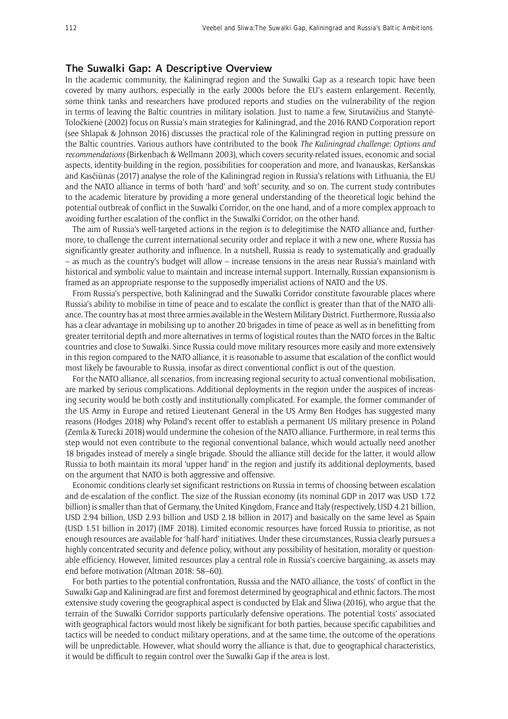### **The Suwalki Gap: A Descriptive Overview**

In the academic community, the Kaliningrad region and the Suwalki Gap as a research topic have been covered by many authors, especially in the early 2000s before the EU's eastern enlargement. Recently, some think tanks and researchers have produced reports and studies on the vulnerability of the region in terms of leaving the Baltic countries in military isolation. Just to name a few, Sirutavičius and Stanytė-Toločkienė (2002) focus on Russia's main strategies for Kaliningrad, and the 2016 RAND Corporation report (see Shlapak & Johnson 2016) discusses the practical role of the Kaliningrad region in putting pressure on the Baltic countries. Various authors have contributed to the book *The Kaliningrad challenge: Options and recommendations* (Birkenbach & Wellmann 2003), which covers security-related issues, economic and social aspects, identity-building in the region, possibilities for cooperation and more, and Ivanauskas, Keršanskas and Kasčiūnas (2017) analyse the role of the Kaliningrad region in Russia's relations with Lithuania, the EU and the NATO alliance in terms of both 'hard' and 'soft' security, and so on. The current study contributes to the academic literature by providing a more general understanding of the theoretical logic behind the potential outbreak of conflict in the Suwalki Corridor, on the one hand, and of a more complex approach to avoiding further escalation of the conflict in the Suwalki Corridor, on the other hand.

The aim of Russia's well-targeted actions in the region is to delegitimise the NATO alliance and, furthermore, to challenge the current international security order and replace it with a new one, where Russia has significantly greater authority and influence. In a nutshell, Russia is ready to systematically and gradually – as much as the country's budget will allow – increase tensions in the areas near Russia's mainland with historical and symbolic value to maintain and increase internal support. Internally, Russian expansionism is framed as an appropriate response to the supposedly imperialist actions of NATO and the US.

From Russia's perspective, both Kaliningrad and the Suwalki Corridor constitute favourable places where Russia's ability to mobilise in time of peace and to escalate the conflict is greater than that of the NATO alliance. The country has at most three armies available in the Western Military District. Furthermore, Russia also has a clear advantage in mobilising up to another 20 brigades in time of peace as well as in benefitting from greater territorial depth and more alternatives in terms of logistical routes than the NATO forces in the Baltic countries and close to Suwalki. Since Russia could move military resources more easily and more extensively in this region compared to the NATO alliance, it is reasonable to assume that escalation of the conflict would most likely be favourable to Russia, insofar as direct conventional conflict is out of the question.

For the NATO alliance, all scenarios, from increasing regional security to actual conventional mobilisation, are marked by serious complications. Additional deployments in the region under the auspices of increasing security would be both costly and institutionally complicated. For example, the former commander of the US Army in Europe and retired Lieutenant General in the US Army Ben Hodges has suggested many reasons (Hodges 2018) why Poland's recent offer to establish a permanent US military presence in Poland (Zemla & Turecki 2018) would undermine the cohesion of the NATO alliance. Furthermore, in real terms this step would not even contribute to the regional conventional balance, which would actually need another 18 brigades instead of merely a single brigade. Should the alliance still decide for the latter, it would allow Russia to both maintain its moral 'upper hand' in the region and justify its additional deployments, based on the argument that NATO is both aggressive and offensive.

Economic conditions clearly set significant restrictions on Russia in terms of choosing between escalation and de-escalation of the conflict. The size of the Russian economy (its nominal GDP in 2017 was USD 1.72 billion) is smaller than that of Germany, the United Kingdom, France and Italy (respectively, USD 4.21 billion, USD 2.94 billion, USD 2.93 billion and USD 2.18 billion in 2017) and basically on the same level as Spain (USD 1.51 billion in 2017) (IMF 2018). Limited economic resources have forced Russia to prioritise, as not enough resources are available for 'half-hard' initiatives. Under these circumstances, Russia clearly pursues a highly concentrated security and defence policy, without any possibility of hesitation, morality or questionable efficiency. However, limited resources play a central role in Russia's coercive bargaining, as assets may end before motivation (Altman 2018: 58–60).

For both parties to the potential confrontation, Russia and the NATO alliance, the 'costs' of conflict in the Suwalki Gap and Kaliningrad are first and foremost determined by geographical and ethnic factors. The most extensive study covering the geographical aspect is conducted by Elak and Šliwa (2016), who argue that the terrain of the Suwalki Corridor supports particularly defensive operations. The potential 'costs' associated with geographical factors would most likely be significant for both parties, because specific capabilities and tactics will be needed to conduct military operations, and at the same time, the outcome of the operations will be unpredictable. However, what should worry the alliance is that, due to geographical characteristics, it would be difficult to regain control over the Suwalki Gap if the area is lost.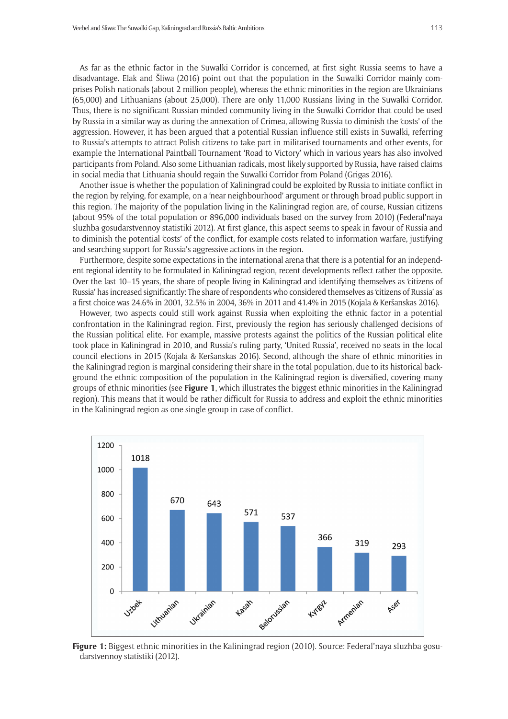As far as the ethnic factor in the Suwalki Corridor is concerned, at first sight Russia seems to have a disadvantage. Elak and Šliwa (2016) point out that the population in the Suwalki Corridor mainly comprises Polish nationals (about 2 million people), whereas the ethnic minorities in the region are Ukrainians (65,000) and Lithuanians (about 25,000). There are only 11,000 Russians living in the Suwalki Corridor. Thus, there is no significant Russian-minded community living in the Suwalki Corridor that could be used by Russia in a similar way as during the annexation of Crimea, allowing Russia to diminish the 'costs' of the aggression. However, it has been argued that a potential Russian influence still exists in Suwalki, referring to Russia's attempts to attract Polish citizens to take part in militarised tournaments and other events, for example the International Paintball Tournament 'Road to Victory' which in various years has also involved participants from Poland. Also some Lithuanian radicals, most likely supported by Russia, have raised claims in social media that Lithuania should regain the Suwalki Corridor from Poland (Grigas 2016).

Another issue is whether the population of Kaliningrad could be exploited by Russia to initiate conflict in the region by relying, for example, on a 'near neighbourhood' argument or through broad public support in this region. The majority of the population living in the Kaliningrad region are, of course, Russian citizens (about 95% of the total population or 896,000 individuals based on the survey from 2010) (Federal'naya sluzhba gosudarstvennoy statistiki 2012). At first glance, this aspect seems to speak in favour of Russia and to diminish the potential 'costs' of the conflict, for example costs related to information warfare, justifying and searching support for Russia's aggressive actions in the region.

Furthermore, despite some expectations in the international arena that there is a potential for an independent regional identity to be formulated in Kaliningrad region, recent developments reflect rather the opposite. Over the last 10–15 years, the share of people living in Kaliningrad and identifying themselves as 'citizens of Russia' has increased significantly: The share of respondents who considered themselves as 'citizens of Russia' as a first choice was 24.6% in 2001, 32.5% in 2004, 36% in 2011 and 41.4% in 2015 (Kojala & Keršanskas 2016).

However, two aspects could still work against Russia when exploiting the ethnic factor in a potential confrontation in the Kaliningrad region. First, previously the region has seriously challenged decisions of the Russian political elite. For example, massive protests against the politics of the Russian political elite took place in Kaliningrad in 2010, and Russia's ruling party, 'United Russia', received no seats in the local council elections in 2015 (Kojala & Keršanskas 2016). Second, although the share of ethnic minorities in the Kaliningrad region is marginal considering their share in the total population, due to its historical background the ethnic composition of the population in the Kaliningrad region is diversified, covering many groups of ethnic minorities (see **Figure 1**, which illustrates the biggest ethnic minorities in the Kaliningrad region). This means that it would be rather difficult for Russia to address and exploit the ethnic minorities in the Kaliningrad region as one single group in case of conflict.



**Figure 1:** Biggest ethnic minorities in the Kaliningrad region (2010). Source: Federal'naya sluzhba gosudarstvennoy statistiki (2012).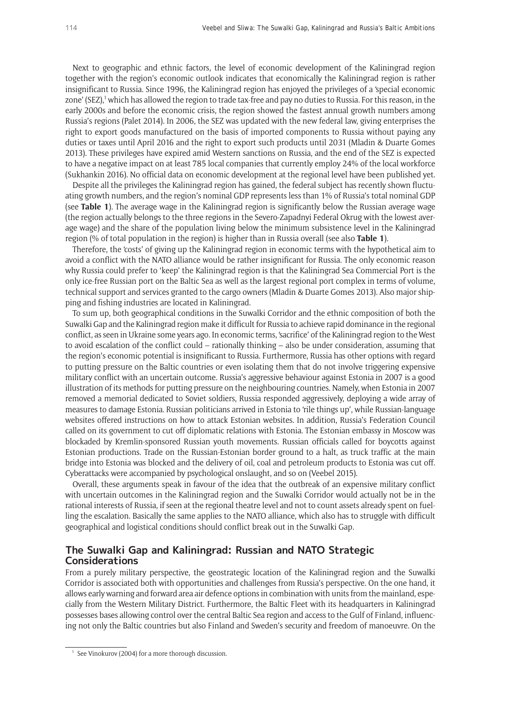Next to geographic and ethnic factors, the level of economic development of the Kaliningrad region together with the region's economic outlook indicates that economically the Kaliningrad region is rather insignificant to Russia. Since 1996, the Kaliningrad region has enjoyed the privileges of a 'special economic zone' (SEZ),<sup>1</sup> which has allowed the region to trade tax-free and pay no duties to Russia. For this reason, in the early 2000s and before the economic crisis, the region showed the fastest annual growth numbers among Russia's regions (Palet 2014). In 2006, the SEZ was updated with the new federal law, giving enterprises the right to export goods manufactured on the basis of imported components to Russia without paying any duties or taxes until April 2016 and the right to export such products until 2031 (Mladin & Duarte Gomes 2013). These privileges have expired amid Western sanctions on Russia, and the end of the SEZ is expected to have a negative impact on at least 785 local companies that currently employ 24% of the local workforce (Sukhankin 2016). No official data on economic development at the regional level have been published yet.

Despite all the privileges the Kaliningrad region has gained, the federal subject has recently shown fluctuating growth numbers, and the region's nominal GDP represents less than 1% of Russia's total nominal GDP (see **Table 1**). The average wage in the Kaliningrad region is significantly below the Russian average wage (the region actually belongs to the three regions in the Severo-Zapadnyi Federal Okrug with the lowest average wage) and the share of the population living below the minimum subsistence level in the Kaliningrad region (% of total population in the region) is higher than in Russia overall (see also **Table 1**).

Therefore, the 'costs' of giving up the Kaliningrad region in economic terms with the hypothetical aim to avoid a conflict with the NATO alliance would be rather insignificant for Russia. The only economic reason why Russia could prefer to 'keep' the Kaliningrad region is that the Kaliningrad Sea Commercial Port is the only ice-free Russian port on the Baltic Sea as well as the largest regional port complex in terms of volume, technical support and services granted to the cargo owners (Mladin & Duarte Gomes 2013). Also major shipping and fishing industries are located in Kaliningrad.

To sum up, both geographical conditions in the Suwalki Corridor and the ethnic composition of both the Suwalki Gap and the Kaliningrad region make it difficult for Russia to achieve rapid dominance in the regional conflict, as seen in Ukraine some years ago. In economic terms, 'sacrifice' of the Kaliningrad region to the West to avoid escalation of the conflict could – rationally thinking – also be under consideration, assuming that the region's economic potential is insignificant to Russia. Furthermore, Russia has other options with regard to putting pressure on the Baltic countries or even isolating them that do not involve triggering expensive military conflict with an uncertain outcome. Russia's aggressive behaviour against Estonia in 2007 is a good illustration of its methods for putting pressure on the neighbouring countries. Namely, when Estonia in 2007 removed a memorial dedicated to Soviet soldiers, Russia responded aggressively, deploying a wide array of measures to damage Estonia. Russian politicians arrived in Estonia to 'rile things up', while Russian-language websites offered instructions on how to attack Estonian websites. In addition, Russia's Federation Council called on its government to cut off diplomatic relations with Estonia. The Estonian embassy in Moscow was blockaded by Kremlin-sponsored Russian youth movements. Russian officials called for boycotts against Estonian productions. Trade on the Russian-Estonian border ground to a halt, as truck traffic at the main bridge into Estonia was blocked and the delivery of oil, coal and petroleum products to Estonia was cut off. Cyberattacks were accompanied by psychological onslaught, and so on (Veebel 2015).

Overall, these arguments speak in favour of the idea that the outbreak of an expensive military conflict with uncertain outcomes in the Kaliningrad region and the Suwalki Corridor would actually not be in the rational interests of Russia, if seen at the regional theatre level and not to count assets already spent on fuelling the escalation. Basically the same applies to the NATO alliance, which also has to struggle with difficult geographical and logistical conditions should conflict break out in the Suwalki Gap.

## **The Suwalki Gap and Kaliningrad: Russian and NATO Strategic Considerations**

From a purely military perspective, the geostrategic location of the Kaliningrad region and the Suwalki Corridor is associated both with opportunities and challenges from Russia's perspective. On the one hand, it allows early warning and forward area air defence options in combination with units from the mainland, especially from the Western Military District. Furthermore, the Baltic Fleet with its headquarters in Kaliningrad possesses bases allowing control over the central Baltic Sea region and access to the Gulf of Finland, influencing not only the Baltic countries but also Finland and Sweden's security and freedom of manoeuvre. On the

See Vinokurov (2004) for a more thorough discussion.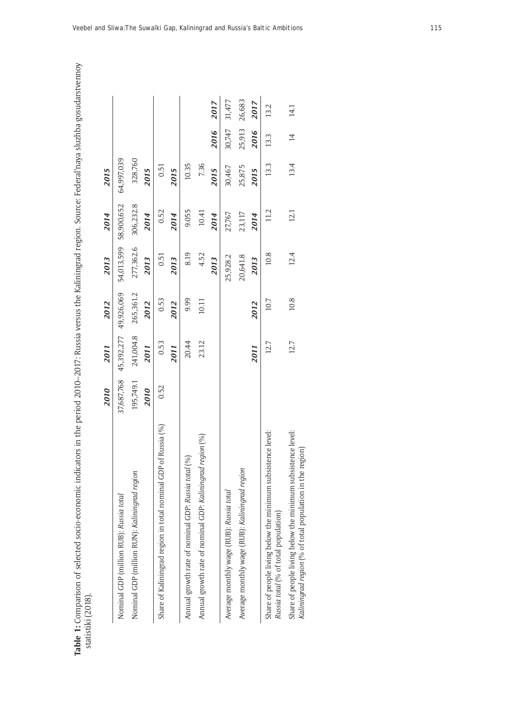|                                                                                                                            | 2010       | 2011       | 2012       | 2013       | 2014       | 2015       |                |        |
|----------------------------------------------------------------------------------------------------------------------------|------------|------------|------------|------------|------------|------------|----------------|--------|
| Nominal GDP (million RUB): Russia total                                                                                    | 37,687,768 | 45,392,277 | 49,926,069 | 54,013,599 | 58,900,652 | 64,997,039 |                |        |
| Nominal GDP (million RUN): Kaliningrad region                                                                              | 195,749.1  | 241,004.8  | 265,361.2  | 277,362.6  | 306,232.8  | 328,760    |                |        |
|                                                                                                                            | 2010       | 2011       | 2012       | 2013       | 2014       | 2015       |                |        |
| Share of Kaliningrad region in total nominal GDP of Russia (%)                                                             | 0.52       | 0.53       | 0.53       | 0.51       | 0.52       | 0.51       |                |        |
|                                                                                                                            |            | 2011       | 2012       | 2013       | 2014       | 2015       |                |        |
| Annual growth rate of nominal GDP: Russia total (%)                                                                        |            | 20.44      | 9.99       | 8.19       | 9.055      | 10.35      |                |        |
| Annual growth rate of nominal GDP: Kaliningrad region (%)                                                                  |            | 23.12      | 10.11      | 4.52       | 10.41      | 7.36       |                |        |
|                                                                                                                            |            |            |            | 2013       | 2014       | 2015       | 2016           | 2017   |
| Average monthly wage (RUB): Russia total                                                                                   |            |            |            | 25,928.2   | 27,767     | 30,467     | 30,747         | 31,477 |
| Average monthly wage (RUB): Kaliningrad region                                                                             |            |            |            | 20,641.8   | 23,117     | 25,875     | 25,913         | 26,683 |
|                                                                                                                            |            | 2011       | 2012       | 2013       | 2014       | 2015       | 2016           | 2017   |
| level:<br>Share of people living below the minimum subsistence l<br>Russia total (% of total population)                   |            | 12.7       | 10.7       | 10.8       | 11.2       | 13.3       | 13.3           | 13.2   |
| level:<br>Share of people living below the minimum subsistence<br>Kaliningrad region (% of total population in the region) |            | 12.7       | 10.8       | 12.4       | 12.1       | 13.4       | $\overline{4}$ | 14.1   |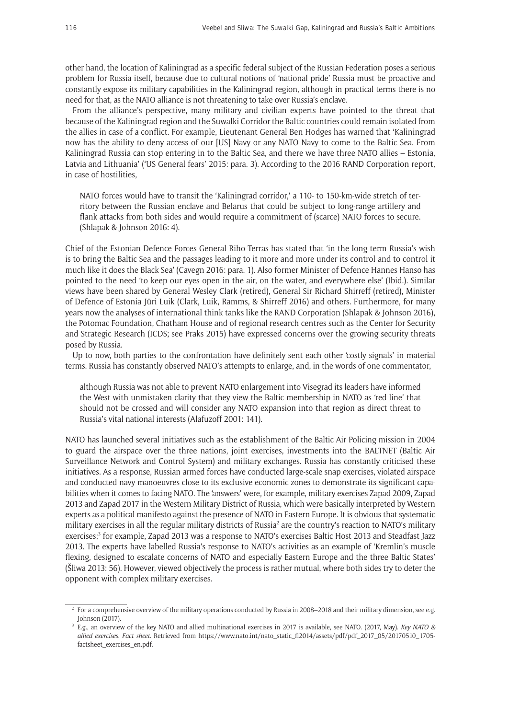other hand, the location of Kaliningrad as a specific federal subject of the Russian Federation poses a serious problem for Russia itself, because due to cultural notions of 'national pride' Russia must be proactive and constantly expose its military capabilities in the Kaliningrad region, although in practical terms there is no need for that, as the NATO alliance is not threatening to take over Russia's enclave.

From the alliance's perspective, many military and civilian experts have pointed to the threat that because of the Kaliningrad region and the Suwalki Corridor the Baltic countries could remain isolated from the allies in case of a conflict. For example, Lieutenant General Ben Hodges has warned that 'Kaliningrad now has the ability to deny access of our [US] Navy or any NATO Navy to come to the Baltic Sea. From Kaliningrad Russia can stop entering in to the Baltic Sea, and there we have three NATO allies – Estonia, Latvia and Lithuania' ('US General fears' 2015: para. 3). According to the 2016 RAND Corporation report, in case of hostilities,

NATO forces would have to transit the 'Kaliningrad corridor,' a 110- to 150-km-wide stretch of territory between the Russian enclave and Belarus that could be subject to long-range artillery and flank attacks from both sides and would require a commitment of (scarce) NATO forces to secure. (Shlapak & Johnson 2016: 4).

Chief of the Estonian Defence Forces General Riho Terras has stated that 'in the long term Russia's wish is to bring the Baltic Sea and the passages leading to it more and more under its control and to control it much like it does the Black Sea' (Cavegn 2016: para. 1). Also former Minister of Defence Hannes Hanso has pointed to the need 'to keep our eyes open in the air, on the water, and everywhere else' (Ibid.). Similar views have been shared by General Wesley Clark (retired), General Sir Richard Shirreff (retired), Minister of Defence of Estonia Jüri Luik (Clark, Luik, Ramms, & Shirreff 2016) and others. Furthermore, for many years now the analyses of international think tanks like the RAND Corporation (Shlapak & Johnson 2016), the Potomac Foundation, Chatham House and of regional research centres such as the Center for Security and Strategic Research (ICDS; see Praks 2015) have expressed concerns over the growing security threats posed by Russia.

Up to now, both parties to the confrontation have definitely sent each other 'costly signals' in material terms. Russia has constantly observed NATO's attempts to enlarge, and, in the words of one commentator,

although Russia was not able to prevent NATO enlargement into Visegrad its leaders have informed the West with unmistaken clarity that they view the Baltic membership in NATO as 'red line' that should not be crossed and will consider any NATO expansion into that region as direct threat to Russia's vital national interests (Alafuzoff 2001: 141).

NATO has launched several initiatives such as the establishment of the Baltic Air Policing mission in 2004 to guard the airspace over the three nations, joint exercises, investments into the BALTNET (Baltic Air Surveillance Network and Control System) and military exchanges. Russia has constantly criticised these initiatives. As a response, Russian armed forces have conducted large-scale snap exercises, violated airspace and conducted navy manoeuvres close to its exclusive economic zones to demonstrate its significant capabilities when it comes to facing NATO. The 'answers' were, for example, military exercises Zapad 2009, Zapad 2013 and Zapad 2017 in the Western Military District of Russia, which were basically interpreted by Western experts as a political manifesto against the presence of NATO in Eastern Europe. It is obvious that systematic military exercises in all the regular military districts of Russia<sup>2</sup> are the country's reaction to NATO's military exercises;<sup>3</sup> for example, Zapad 2013 was a response to NATO's exercises Baltic Host 2013 and Steadfast Jazz 2013. The experts have labelled Russia's response to NATO's activities as an example of 'Kremlin's muscle flexing, designed to escalate concerns of NATO and especially Eastern Europe and the three Baltic States' (Šliwa 2013: 56). However, viewed objectively the process is rather mutual, where both sides try to deter the opponent with complex military exercises.

 $2$  For a comprehensive overview of the military operations conducted by Russia in 2008–2018 and their military dimension, see e.g. Johnson (2017).

<sup>3</sup> E.g., an overview of the key NATO and allied multinational exercises in 2017 is available, see NATO. (2017, May). *Key NATO & allied exercises. Fact sheet*. Retrieved from [https://www.nato.int/nato\\_static\\_fl2014/assets/pdf/pdf\\_2017\\_05/20170510\\_1705](https://www.nato.int/nato_static_fl2014/assets/pdf/pdf_2017_05/20170510_1705-factsheet_exercises_en.pdf) [factsheet\\_exercises\\_en.pdf.](https://www.nato.int/nato_static_fl2014/assets/pdf/pdf_2017_05/20170510_1705-factsheet_exercises_en.pdf)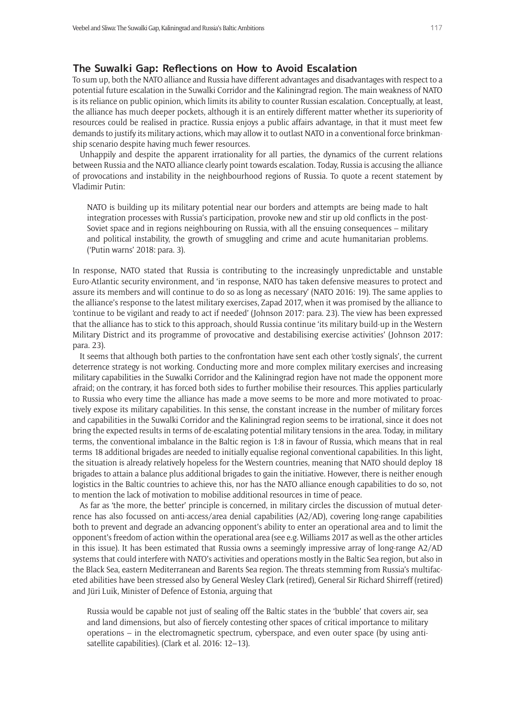## **The Suwalki Gap: Reflections on How to Avoid Escalation**

To sum up, both the NATO alliance and Russia have different advantages and disadvantages with respect to a potential future escalation in the Suwalki Corridor and the Kaliningrad region. The main weakness of NATO is its reliance on public opinion, which limits its ability to counter Russian escalation. Conceptually, at least, the alliance has much deeper pockets, although it is an entirely different matter whether its superiority of resources could be realised in practice. Russia enjoys a public affairs advantage, in that it must meet few demands to justify its military actions, which may allow it to outlast NATO in a conventional force brinkmanship scenario despite having much fewer resources.

Unhappily and despite the apparent irrationality for all parties, the dynamics of the current relations between Russia and the NATO alliance clearly point towards escalation. Today, Russia is accusing the alliance of provocations and instability in the neighbourhood regions of Russia. To quote a recent statement by Vladimir Putin:

NATO is building up its military potential near our borders and attempts are being made to halt integration processes with Russia's participation, provoke new and stir up old conflicts in the post-Soviet space and in regions neighbouring on Russia, with all the ensuing consequences – military and political instability, the growth of smuggling and crime and acute humanitarian problems. ('Putin warns' 2018: para. 3).

In response, NATO stated that Russia is contributing to the increasingly unpredictable and unstable Euro-Atlantic security environment, and 'in response, NATO has taken defensive measures to protect and assure its members and will continue to do so as long as necessary' (NATO 2016: 19). The same applies to the alliance's response to the latest military exercises, Zapad 2017, when it was promised by the alliance to 'continue to be vigilant and ready to act if needed' (Johnson 2017: para. 23). The view has been expressed that the alliance has to stick to this approach, should Russia continue 'its military build-up in the Western Military District and its programme of provocative and destabilising exercise activities' (Johnson 2017: para. 23).

It seems that although both parties to the confrontation have sent each other 'costly signals', the current deterrence strategy is not working. Conducting more and more complex military exercises and increasing military capabilities in the Suwalki Corridor and the Kaliningrad region have not made the opponent more afraid; on the contrary, it has forced both sides to further mobilise their resources. This applies particularly to Russia who every time the alliance has made a move seems to be more and more motivated to proactively expose its military capabilities. In this sense, the constant increase in the number of military forces and capabilities in the Suwalki Corridor and the Kaliningrad region seems to be irrational, since it does not bring the expected results in terms of de-escalating potential military tensions in the area. Today, in military terms, the conventional imbalance in the Baltic region is 1:8 in favour of Russia, which means that in real terms 18 additional brigades are needed to initially equalise regional conventional capabilities. In this light, the situation is already relatively hopeless for the Western countries, meaning that NATO should deploy 18 brigades to attain a balance plus additional brigades to gain the initiative. However, there is neither enough logistics in the Baltic countries to achieve this, nor has the NATO alliance enough capabilities to do so, not to mention the lack of motivation to mobilise additional resources in time of peace.

As far as 'the more, the better' principle is concerned, in military circles the discussion of mutual deterrence has also focussed on anti-access/area denial capabilities (A2/AD), covering long-range capabilities both to prevent and degrade an advancing opponent's ability to enter an operational area and to limit the opponent's freedom of action within the operational area (see e.g. Williams 2017 as well as the other articles in this issue). It has been estimated that Russia owns a seemingly impressive array of long-range A2/AD systems that could interfere with NATO's activities and operations mostly in the Baltic Sea region, but also in the Black Sea, eastern Mediterranean and Barents Sea region. The threats stemming from Russia's multifaceted abilities have been stressed also by General Wesley Clark (retired), General Sir Richard Shirreff (retired) and Jüri Luik, Minister of Defence of Estonia, arguing that

Russia would be capable not just of sealing off the Baltic states in the 'bubble' that covers air, sea and land dimensions, but also of fiercely contesting other spaces of critical importance to military operations – in the electromagnetic spectrum, cyberspace, and even outer space (by using antisatellite capabilities). (Clark et al. 2016: 12–13).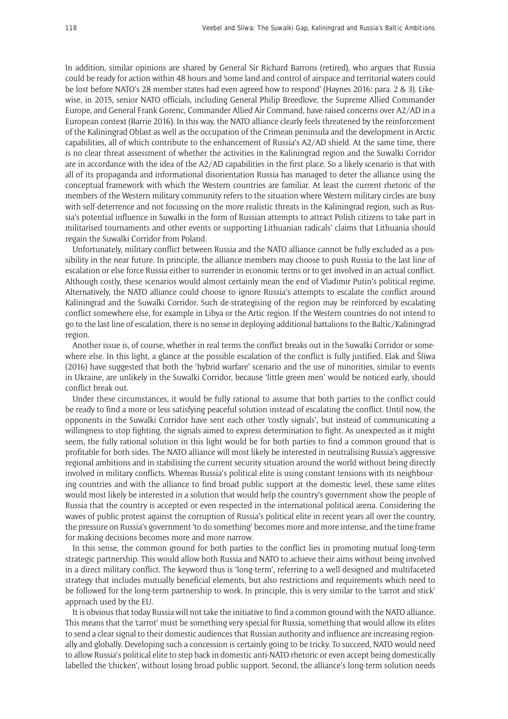In addition, similar opinions are shared by General Sir Richard Barrons (retired), who argues that Russia could be ready for action within 48 hours and 'some land and control of airspace and territorial waters could be lost before NATO's 28 member states had even agreed how to respond' (Haynes 2016: para. 2 & 3). Likewise, in 2015, senior NATO officials, including General Philip Breedlove, the Supreme Allied Commander Europe, and General Frank Gorenc, Commander Allied Air Command, have raised concerns over A2/AD in a European context (Barrie 2016). In this way, the NATO alliance clearly feels threatened by the reinforcement of the Kaliningrad Oblast as well as the occupation of the Crimean peninsula and the development in Arctic capabilities, all of which contribute to the enhancement of Russia's A2/AD shield. At the same time, there is no clear threat assessment of whether the activities in the Kaliningrad region and the Suwalki Corridor are in accordance with the idea of the A2/AD capabilities in the first place. So a likely scenario is that with all of its propaganda and informational disorientation Russia has managed to deter the alliance using the conceptual framework with which the Western countries are familiar. At least the current rhetoric of the members of the Western military community refers to the situation where Western military circles are busy with self-deterrence and not focussing on the more realistic threats in the Kaliningrad region, such as Russia's potential influence in Suwalki in the form of Russian attempts to attract Polish citizens to take part in militarised tournaments and other events or supporting Lithuanian radicals' claims that Lithuania should regain the Suwalki Corridor from Poland.

Unfortunately, military conflict between Russia and the NATO alliance cannot be fully excluded as a possibility in the near future. In principle, the alliance members may choose to push Russia to the last line of escalation or else force Russia either to surrender in economic terms or to get involved in an actual conflict. Although costly, these scenarios would almost certainly mean the end of Vladimir Putin's political regime. Alternatively, the NATO alliance could choose to ignore Russia's attempts to escalate the conflict around Kaliningrad and the Suwalki Corridor. Such de-strategising of the region may be reinforced by escalating conflict somewhere else, for example in Libya or the Artic region. If the Western countries do not intend to go to the last line of escalation, there is no sense in deploying additional battalions to the Baltic/Kaliningrad region.

Another issue is, of course, whether in real terms the conflict breaks out in the Suwalki Corridor or somewhere else. In this light, a glance at the possible escalation of the conflict is fully justified. Elak and Šliwa (2016) have suggested that both the 'hybrid warfare' scenario and the use of minorities, similar to events in Ukraine, are unlikely in the Suwalki Corridor, because 'little green men' would be noticed early, should conflict break out.

Under these circumstances, it would be fully rational to assume that both parties to the conflict could be ready to find a more or less satisfying peaceful solution instead of escalating the conflict. Until now, the opponents in the Suwalki Corridor have sent each other 'costly signals', but instead of communicating a willingness to stop fighting, the signals aimed to express determination to fight. As unexpected as it might seem, the fully rational solution in this light would be for both parties to find a common ground that is profitable for both sides. The NATO alliance will most likely be interested in neutralising Russia's aggressive regional ambitions and in stabilising the current security situation around the world without being directly involved in military conflicts. Whereas Russia's political elite is using constant tensions with its neighbouring countries and with the alliance to find broad public support at the domestic level, these same elites would most likely be interested in a solution that would help the country's government show the people of Russia that the country is accepted or even respected in the international political arena. Considering the waves of public protest against the corruption of Russia's political elite in recent years all over the country, the pressure on Russia's government 'to do something' becomes more and more intense, and the time frame for making decisions becomes more and more narrow.

In this sense, the common ground for both parties to the conflict lies in promoting mutual long-term strategic partnership. This would allow both Russia and NATO to achieve their aims without being involved in a direct military conflict. The keyword thus is 'long-term', referring to a well-designed and multifaceted strategy that includes mutually beneficial elements, but also restrictions and requirements which need to be followed for the long-term partnership to work. In principle, this is very similar to the 'carrot and stick' approach used by the EU.

It is obvious that today Russia will not take the initiative to find a common ground with the NATO alliance. This means that the 'carrot' must be something very special for Russia, something that would allow its elites to send a clear signal to their domestic audiences that Russian authority and influence are increasing regionally and globally. Developing such a concession is certainly going to be tricky. To succeed, NATO would need to allow Russia's political elite to step back in domestic anti-NATO rhetoric or even accept being domestically labelled the 'chicken', without losing broad public support. Second, the alliance's long-term solution needs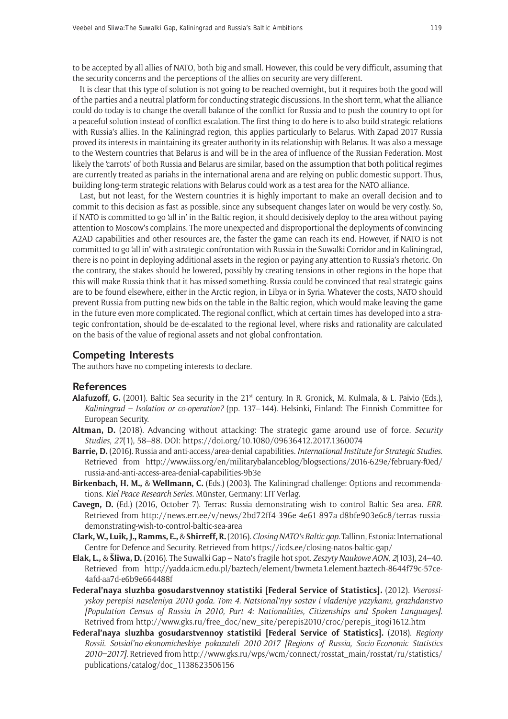to be accepted by all allies of NATO, both big and small. However, this could be very difficult, assuming that the security concerns and the perceptions of the allies on security are very different.

It is clear that this type of solution is not going to be reached overnight, but it requires both the good will of the parties and a neutral platform for conducting strategic discussions. In the short term, what the alliance could do today is to change the overall balance of the conflict for Russia and to push the country to opt for a peaceful solution instead of conflict escalation. The first thing to do here is to also build strategic relations with Russia's allies. In the Kaliningrad region, this applies particularly to Belarus. With Zapad 2017 Russia proved its interests in maintaining its greater authority in its relationship with Belarus. It was also a message to the Western countries that Belarus is and will be in the area of influence of the Russian Federation. Most likely the 'carrots' of both Russia and Belarus are similar, based on the assumption that both political regimes are currently treated as pariahs in the international arena and are relying on public domestic support. Thus, building long-term strategic relations with Belarus could work as a test area for the NATO alliance.

Last, but not least, for the Western countries it is highly important to make an overall decision and to commit to this decision as fast as possible, since any subsequent changes later on would be very costly. So, if NATO is committed to go 'all in' in the Baltic region, it should decisively deploy to the area without paying attention to Moscow's complains. The more unexpected and disproportional the deployments of convincing A2AD capabilities and other resources are, the faster the game can reach its end. However, if NATO is not committed to go 'all in' with a strategic confrontation with Russia in the Suwalki Corridor and in Kaliningrad, there is no point in deploying additional assets in the region or paying any attention to Russia's rhetoric. On the contrary, the stakes should be lowered, possibly by creating tensions in other regions in the hope that this will make Russia think that it has missed something. Russia could be convinced that real strategic gains are to be found elsewhere, either in the Arctic region, in Libya or in Syria. Whatever the costs, NATO should prevent Russia from putting new bids on the table in the Baltic region, which would make leaving the game in the future even more complicated. The regional conflict, which at certain times has developed into a strategic confrontation, should be de-escalated to the regional level, where risks and rationality are calculated on the basis of the value of regional assets and not global confrontation.

## **Competing Interests**

The authors have no competing interests to declare.

### **References**

- **Alafuzoff, G.** (2001). Baltic Sea security in the 21<sup>st</sup> century. In R. Gronick, M. Kulmala, & L. Paivio (Eds.), *Kaliningrad – Isolation or co-operation?* (pp. 137–144). Helsinki, Finland: The Finnish Committee for European Security.
- **Altman, D.** (2018). Advancing without attacking: The strategic game around use of force. *Security Studies*, *27*(1), 58–88. DOI:<https://doi.org/10.1080/09636412.2017.1360074>
- **Barrie, D.** (2016). Russia and anti-access/area-denial capabilities. *International Institute for Strategic Studies*. Retrieved from [http://www.iiss.org/en/militarybalanceblog/blogsections/2016-629e/february-f0ed/](http://www.iiss.org/en/militarybalanceblog/blogsections/2016-629e/february-f0ed/russia-and-anti-access-area-denial-capabilities-9b3e) [russia-and-anti-access-area-denial-capabilities-9b3e](http://www.iiss.org/en/militarybalanceblog/blogsections/2016-629e/february-f0ed/russia-and-anti-access-area-denial-capabilities-9b3e)
- **Birkenbach, H. M.,** & **Wellmann, C.** (Eds.) (2003). The Kaliningrad challenge: Options and recommendations. *Kiel Peace Research Series*. Münster, Germany: LIT Verlag.
- **Cavegn, D.** (Ed.) (2016, October 7). Terras: Russia demonstrating wish to control Baltic Sea area. *ERR*. Retrieved from [http://news.err.ee/v/news/2bd72ff4-396e-4e61-897a-d8bfe903e6c8/terras-russia](http://news.err.ee/v/news/2bd72ff4-396e-4e61-897a-d8bfe903e6c8/terras-russia-demonstrating-wish-to-control-baltic-sea-area)[demonstrating-wish-to-control-baltic-sea-area](http://news.err.ee/v/news/2bd72ff4-396e-4e61-897a-d8bfe903e6c8/terras-russia-demonstrating-wish-to-control-baltic-sea-area)
- **Clark, W., Luik, J., Ramms, E.,** & **Shirreff, R.** (2016). *Closing NATO's Baltic gap*. Tallinn, Estonia: International Centre for Defence and Security. Retrieved from <https://icds.ee/closing-natos-baltic-gap/>
- **Elak, L.,** & **Šliwa, D.** (2016). The Suwalki Gap Nato's fragile hot spot. *Zeszyty Naukowe AON*, *2*(103), 24–40. Retrieved from [http://yadda.icm.edu.pl/baztech/element/bwmeta1.element.baztech-8644f79c-57ce-](http://yadda.icm.edu.pl/baztech/element/bwmeta1.element.baztech-8644f79c-57ce-4afd-aa7d-e6b9e664488f)[4afd-aa7d-e6b9e664488f](http://yadda.icm.edu.pl/baztech/element/bwmeta1.element.baztech-8644f79c-57ce-4afd-aa7d-e6b9e664488f)
- **Federal'naya sluzhba gosudarstvennoy statistiki [Federal Service of Statistics].** (2012). *Vserossiyskoy perepisi naseleniya 2010 goda. Tom 4. Natsional'nyy sostav i vladeniye yazykami, grazhdanstvo [Population Census of Russia in 2010, Part 4: Nationalities, Citizenships and Spoken Languages]*. Retrived from [http://www.gks.ru/free\\_doc/new\\_site/perepis2010/croc/perepis\\_itogi1612.htm](http://www.gks.ru/free_doc/new_site/perepis2010/croc/perepis_itogi1612.htm)
- **Federal'naya sluzhba gosudarstvennoy statistiki [Federal Service of Statistics].** (2018). *Regiony Rossii. Sotsial'no-ekonomicheskiye pokazateli 2010-2017 [Regions of Russia, Socio-Economic Statistics 2010–2017]*. Retrieved from [http://www.gks.ru/wps/wcm/connect/rosstat\\_main/rosstat/ru/statistics/](http://www.gks.ru/wps/wcm/connect/rosstat_main/rosstat/ru/statistics/publications/catalog/doc_1138623506156) [publications/catalog/doc\\_1138623506156](http://www.gks.ru/wps/wcm/connect/rosstat_main/rosstat/ru/statistics/publications/catalog/doc_1138623506156)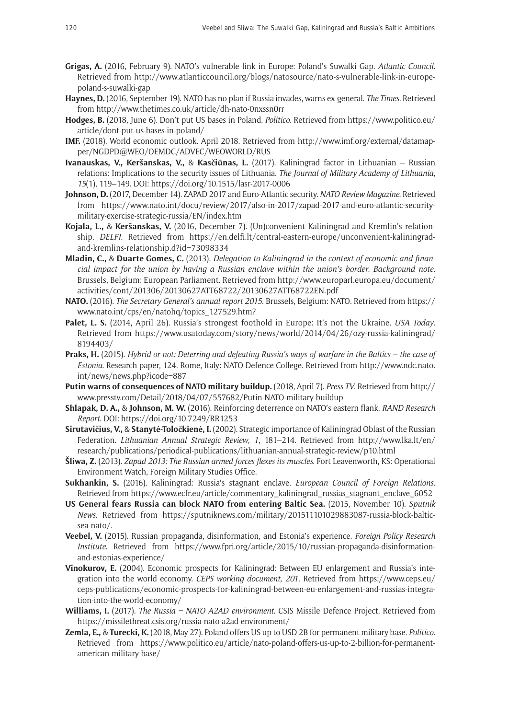- **Grigas, A.** (2016, February 9). NATO's vulnerable link in Europe: Poland's Suwalki Gap. *Atlantic Council*. Retrieved from [http://www.atlanticcouncil.org/blogs/natosource/nato-s-vulnerable-link-in-europe](http://www.atlanticcouncil.org/blogs/natosource/nato-s-vulnerable-link-in-europe-poland-s-suwalki-gap)[poland-s-suwalki-gap](http://www.atlanticcouncil.org/blogs/natosource/nato-s-vulnerable-link-in-europe-poland-s-suwalki-gap)
- **Haynes, D.** (2016, September 19). NATO has no plan if Russia invades, warns ex-general. *The Times*. Retrieved from <http://www.thetimes.co.uk/article/dh-nato-0nxssn0rr>
- **Hodges, B.** (2018, June 6). Don't put US bases in Poland. *Politico*. Retrieved from [https://www.politico.eu/](https://www.politico.eu/article/dont-put-us-bases-in-poland/) [article/dont-put-us-bases-in-poland/](https://www.politico.eu/article/dont-put-us-bases-in-poland/)
- **IMF.** (2018). World economic outlook. April 2018. Retrieved from [http://www.imf.org/external/datamap](http://www.imf.org/external/datamapper/NGDPD@WEO/OEMDC/ADVEC/WEOWORLD/RUS)[per/NGDPD@WEO/OEMDC/ADVEC/WEOWORLD/RUS](http://www.imf.org/external/datamapper/NGDPD@WEO/OEMDC/ADVEC/WEOWORLD/RUS)
- **Ivanauskas, V., Keršanskas, V.,** & **Kasčiūnas, L.** (2017). Kaliningrad factor in Lithuanian Russian relations: Implications to the security issues of Lithuania. *The Journal of Military Academy of Lithuania*, *15*(1), 119–149. DOI:<https://doi.org/10.1515/lasr-2017-0006>
- **Johnson, D.** (2017, December 14). ZAPAD 2017 and Euro-Atlantic security. *NATO Review Magazine*. Retrieved from [https://www.nato.int/docu/review/2017/also-in-2017/zapad-2017-and-euro-atlantic-security](https://www.nato.int/docu/review/2017/also-in-2017/zapad-2017-and-euro-atlantic-security-military-exercise-strategic-russia/EN/index.htm)[military-exercise-strategic-russia/EN/index.htm](https://www.nato.int/docu/review/2017/also-in-2017/zapad-2017-and-euro-atlantic-security-military-exercise-strategic-russia/EN/index.htm)
- **Kojala, L.,** & **Keršanskas, V.** (2016, December 7). (Un)convenient Kaliningrad and Kremlin's relationship. *DELFI*. Retrieved from [https://en.delfi.lt/central-eastern-europe/unconvenient-kaliningrad](https://en.delfi.lt/central-eastern-europe/unconvenient-kaliningrad-and-kremlins-relationship.d?id=73098334)[and-kremlins-relationship.d?id=73098334](https://en.delfi.lt/central-eastern-europe/unconvenient-kaliningrad-and-kremlins-relationship.d?id=73098334)
- **Mladin, C.,** & **Duarte Gomes, C.** (2013). *Delegation to Kaliningrad in the context of economic and financial impact for the union by having a Russian enclave within the union's border. Background note*. Brussels, Belgium: European Parliament. Retrieved from [http://www.europarl.europa.eu/document/](http://www.europarl.europa.eu/document/activities/cont/201306/20130627ATT68722/20130627ATT68722EN.pdf) [activities/cont/201306/20130627ATT68722/20130627ATT68722EN.pdf](http://www.europarl.europa.eu/document/activities/cont/201306/20130627ATT68722/20130627ATT68722EN.pdf)
- **NATO.** (2016). *The Secretary General's annual report 2015*. Brussels, Belgium: NATO. Retrieved from [https://](https://www.nato.int/cps/en/natohq/topics_127529.htm?) [www.nato.int/cps/en/natohq/topics\\_127529.htm?](https://www.nato.int/cps/en/natohq/topics_127529.htm?)
- **Palet, L. S.** (2014, April 26). Russia's strongest foothold in Europe: It's not the Ukraine. *USA Today*. Retrieved from [https://www.usatoday.com/story/news/world/2014/04/26/ozy-russia-kaliningrad/](https://www.usatoday.com/story/news/world/2014/04/26/ozy-russia-kaliningrad/8194403/) [8194403/](https://www.usatoday.com/story/news/world/2014/04/26/ozy-russia-kaliningrad/8194403/)
- **Praks, H.** (2015). *Hybrid or not: Deterring and defeating Russia's ways of warfare in the Baltics the case of Estonia*. Research paper, 124. Rome, Italy: NATO Defence College. Retrieved from [http://www.ndc.nato.](http://www.ndc.nato.int/news/news.php?icode=887) [int/news/news.php?icode=887](http://www.ndc.nato.int/news/news.php?icode=887)
- **Putin warns of consequences of NATO military buildup.** (2018, April 7). *Press TV*. Retrieved from [http://](http://www.presstv.com/Detail/2018/04/07/557682/Putin-NATO-military-buildup) [www.presstv.com/Detail/2018/04/07/557682/Putin-NATO-military-buildup](http://www.presstv.com/Detail/2018/04/07/557682/Putin-NATO-military-buildup)
- **Shlapak, D. A.,** & **Johnson, M. W.** (2016). Reinforcing deterrence on NATO's eastern flank. *RAND Research Report*. DOI: <https://doi.org/10.7249/RR1253>
- **Sirutavičius, V.,** & **Stanytė-Toločkienė, I.** (2002). Strategic importance of Kaliningrad Oblast of the Russian Federation. *Lithuanian Annual Strategic Review*, *1*, 181–214. Retrieved from [http://www.lka.lt/en/](http://www.lka.lt/en/research/publications/periodical-publications/lithuanian-annual-strategic-review/p10.html) [research/publications/periodical-publications/lithuanian-annual-strategic-review/p10.html](http://www.lka.lt/en/research/publications/periodical-publications/lithuanian-annual-strategic-review/p10.html)
- **Šliwa, Z.** (2013). *Zapad 2013: The Russian armed forces flexes its muscles*. Fort Leavenworth, KS: Operational Environment Watch, Foreign Military Studies Office.
- **Sukhankin, S.** (2016). Kaliningrad: Russia's stagnant enclave. *European Council of Foreign Relations*. Retrieved from [https://www.ecfr.eu/article/commentary\\_kaliningrad\\_russias\\_stagnant\\_enclave\\_6052](https://www.ecfr.eu/article/commentary_kaliningrad_russias_stagnant_enclave_6052)
- **US General fears Russia can block NATO from entering Baltic Sea.** (2015, November 10). *Sputnik News*. Retrieved from [https://sputniknews.com/military/201511101029883087-russia-block-baltic](https://sputniknews.com/military/201511101029883087-russia-block-baltic-sea-nato/)[sea-nato/.](https://sputniknews.com/military/201511101029883087-russia-block-baltic-sea-nato/)
- **Veebel, V.** (2015). Russian propaganda, disinformation, and Estonia's experience. *Foreign Policy Research Institute*. Retrieved from [https://www.fpri.org/article/2015/10/russian-propaganda-disinformation](https://www.fpri.org/article/2015/10/russian-propaganda-disinformation-and-estonias-experience/)[and-estonias-experience/](https://www.fpri.org/article/2015/10/russian-propaganda-disinformation-and-estonias-experience/)
- **Vinokurov, E.** (2004). Economic prospects for Kaliningrad: Between EU enlargement and Russia's integration into the world economy. *CEPS working document, 201*. Retrieved from [https://www.ceps.eu/](https://www.ceps.eu/ceps-publications/economic-prospects-for-kaliningrad-between-eu-enlargement-and-russias-integration-into-the-world-economy/) [ceps-publications/economic-prospects-for-kaliningrad-between-eu-enlargement-and-russias-integra](https://www.ceps.eu/ceps-publications/economic-prospects-for-kaliningrad-between-eu-enlargement-and-russias-integration-into-the-world-economy/)[tion-into-the-world-economy/](https://www.ceps.eu/ceps-publications/economic-prospects-for-kaliningrad-between-eu-enlargement-and-russias-integration-into-the-world-economy/)
- **Williams, I.** (2017). *The Russia NATO A2AD environment*. CSIS Missile Defence Project. Retrieved from <https://missilethreat.csis.org/russia-nato-a2ad-environment/>
- **Zemla, E.,** & **Turecki, K.** (2018, May 27). Poland offers US up to USD 2B for permanent military base. *Politico*. Retrieved from [https://www.politico.eu/article/nato-poland-offers-us-up-to-2-billion-for-permanent](https://www.politico.eu/article/nato-poland-offers-us-up-to-2-billion-for-permanent-american-military-base/)[american-military-base/](https://www.politico.eu/article/nato-poland-offers-us-up-to-2-billion-for-permanent-american-military-base/)